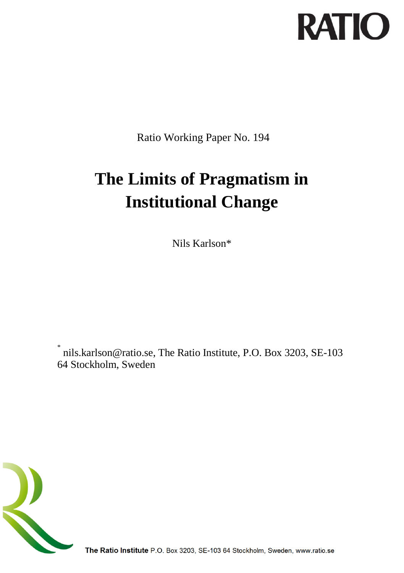# **RATIO**

Ratio Working Paper No. 194

# **The Limits of Pragmatism in Institutional Change**

Nils Karlson\*

\* nils.karlson@ratio.se, The Ratio Institute, P.O. Box 3203, SE-103 64 Stockholm, Sweden



The Ratio Institute P.O. Box 3203, SE-103 64 Stockholm, Sweden, www.ratio.se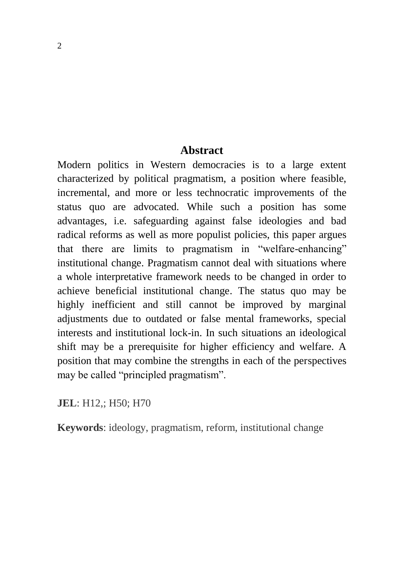#### **Abstract**

Modern politics in Western democracies is to a large extent characterized by political pragmatism, a position where feasible, incremental, and more or less technocratic improvements of the status quo are advocated. While such a position has some advantages, i.e. safeguarding against false ideologies and bad radical reforms as well as more populist policies, this paper argues that there are limits to pragmatism in "welfare-enhancing" institutional change. Pragmatism cannot deal with situations where a whole interpretative framework needs to be changed in order to achieve beneficial institutional change. The status quo may be highly inefficient and still cannot be improved by marginal adjustments due to outdated or false mental frameworks, special interests and institutional lock-in. In such situations an ideological shift may be a prerequisite for higher efficiency and welfare. A position that may combine the strengths in each of the perspectives may be called "principled pragmatism".

**JEL**: H12,; H50; H70

**Keywords**: ideology, pragmatism, reform, institutional change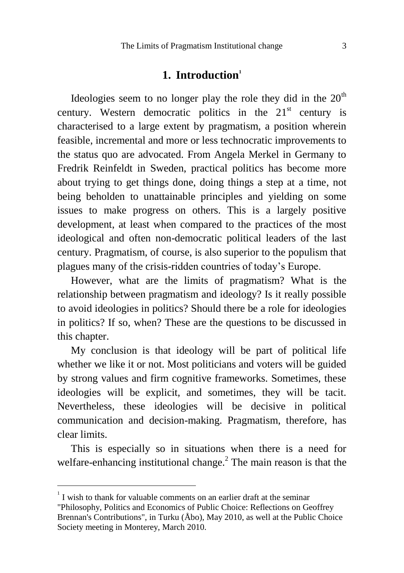#### **1. Introduction<sup>1</sup>**

Ideologies seem to no longer play the role they did in the  $20<sup>th</sup>$ century. Western democratic politics in the  $21<sup>st</sup>$  century is characterised to a large extent by pragmatism, a position wherein feasible, incremental and more or less technocratic improvements to the status quo are advocated. From Angela Merkel in Germany to Fredrik Reinfeldt in Sweden, practical politics has become more about trying to get things done, doing things a step at a time, not being beholden to unattainable principles and yielding on some issues to make progress on others. This is a largely positive development, at least when compared to the practices of the most ideological and often non-democratic political leaders of the last century. Pragmatism, of course, is also superior to the populism that plagues many of the crisis-ridden countries of today's Europe.

However, what are the limits of pragmatism? What is the relationship between pragmatism and ideology? Is it really possible to avoid ideologies in politics? Should there be a role for ideologies in politics? If so, when? These are the questions to be discussed in this chapter.

My conclusion is that ideology will be part of political life whether we like it or not. Most politicians and voters will be guided by strong values and firm cognitive frameworks. Sometimes, these ideologies will be explicit, and sometimes, they will be tacit. Nevertheless, these ideologies will be decisive in political communication and decision-making. Pragmatism, therefore, has clear limits.

This is especially so in situations when there is a need for welfare-enhancing institutional change.<sup>2</sup> The main reason is that the

<u>.</u>

 $\frac{1}{1}$  I wish to thank for valuable comments on an earlier draft at the seminar "Philosophy, Politics and Economics of Public Choice: Reflections on Geoffrey Brennan's Contributions", in Turku (Åbo), May 2010, as well at the Public Choice Society meeting in Monterey, March 2010.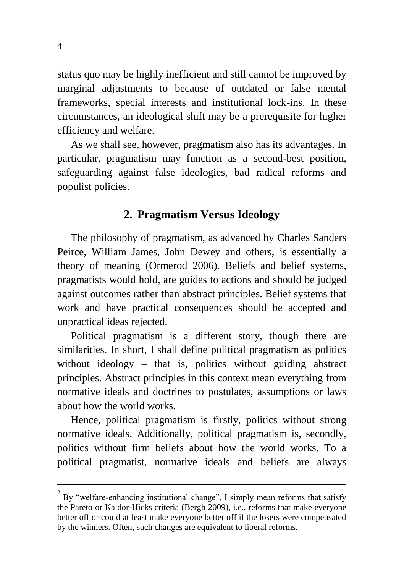status quo may be highly inefficient and still cannot be improved by marginal adjustments to because of outdated or false mental frameworks, special interests and institutional lock-ins. In these circumstances, an ideological shift may be a prerequisite for higher efficiency and welfare.

As we shall see, however, pragmatism also has its advantages. In particular, pragmatism may function as a second-best position, safeguarding against false ideologies, bad radical reforms and populist policies.

# **2. Pragmatism Versus Ideology**

The philosophy of pragmatism, as advanced by Charles Sanders Peirce, William James, John Dewey and others, is essentially a theory of meaning (Ormerod 2006). Beliefs and belief systems, pragmatists would hold, are guides to actions and should be judged against outcomes rather than abstract principles. Belief systems that work and have practical consequences should be accepted and unpractical ideas rejected.

Political pragmatism is a different story, though there are similarities. In short, I shall define political pragmatism as politics without ideology – that is, politics without guiding abstract principles. Abstract principles in this context mean everything from normative ideals and doctrines to postulates, assumptions or laws about how the world works.

Hence, political pragmatism is firstly, politics without strong normative ideals. Additionally, political pragmatism is, secondly, politics without firm beliefs about how the world works. To a political pragmatist, normative ideals and beliefs are always

1

<sup>2</sup> By "welfare-enhancing institutional change", I simply mean reforms that satisfy the Pareto or Kaldor-Hicks criteria (Bergh 2009), i.e., reforms that make everyone better off or could at least make everyone better off if the losers were compensated by the winners. Often, such changes are equivalent to liberal reforms.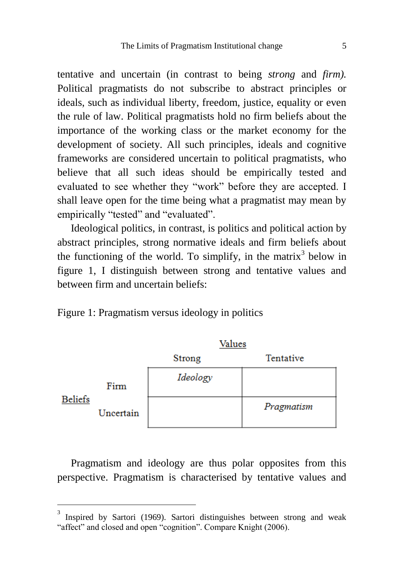tentative and uncertain (in contrast to being *strong* and *firm).*  Political pragmatists do not subscribe to abstract principles or ideals, such as individual liberty, freedom, justice, equality or even the rule of law. Political pragmatists hold no firm beliefs about the importance of the working class or the market economy for the development of society. All such principles, ideals and cognitive frameworks are considered uncertain to political pragmatists, who believe that all such ideas should be empirically tested and evaluated to see whether they "work" before they are accepted. I shall leave open for the time being what a pragmatist may mean by empirically "tested" and "evaluated".

Ideological politics, in contrast, is politics and political action by abstract principles, strong normative ideals and firm beliefs about the functioning of the world. To simplify, in the matrix<sup>3</sup> below in figure 1, I distinguish between strong and tentative values and between firm and uncertain beliefs:

Figure 1: Pragmatism versus ideology in politics

1



Pragmatism and ideology are thus polar opposites from this perspective. Pragmatism is characterised by tentative values and

<sup>3</sup> Inspired by Sartori (1969). Sartori distinguishes between strong and weak "affect" and closed and open "cognition". Compare Knight (2006).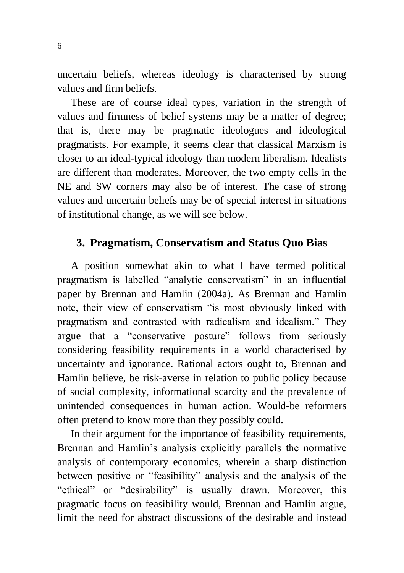uncertain beliefs, whereas ideology is characterised by strong values and firm beliefs.

These are of course ideal types, variation in the strength of values and firmness of belief systems may be a matter of degree; that is, there may be pragmatic ideologues and ideological pragmatists. For example, it seems clear that classical Marxism is closer to an ideal-typical ideology than modern liberalism. Idealists are different than moderates. Moreover, the two empty cells in the NE and SW corners may also be of interest. The case of strong values and uncertain beliefs may be of special interest in situations of institutional change, as we will see below.

# **3. Pragmatism, Conservatism and Status Quo Bias**

A position somewhat akin to what I have termed political pragmatism is labelled "analytic conservatism" in an influential paper by Brennan and Hamlin (2004a). As Brennan and Hamlin note, their view of conservatism "is most obviously linked with pragmatism and contrasted with radicalism and idealism." They argue that a "conservative posture" follows from seriously considering feasibility requirements in a world characterised by uncertainty and ignorance. Rational actors ought to, Brennan and Hamlin believe, be risk-averse in relation to public policy because of social complexity, informational scarcity and the prevalence of unintended consequences in human action. Would-be reformers often pretend to know more than they possibly could.

In their argument for the importance of feasibility requirements, Brennan and Hamlin's analysis explicitly parallels the normative analysis of contemporary economics, wherein a sharp distinction between positive or "feasibility" analysis and the analysis of the "ethical" or "desirability" is usually drawn. Moreover, this pragmatic focus on feasibility would, Brennan and Hamlin argue, limit the need for abstract discussions of the desirable and instead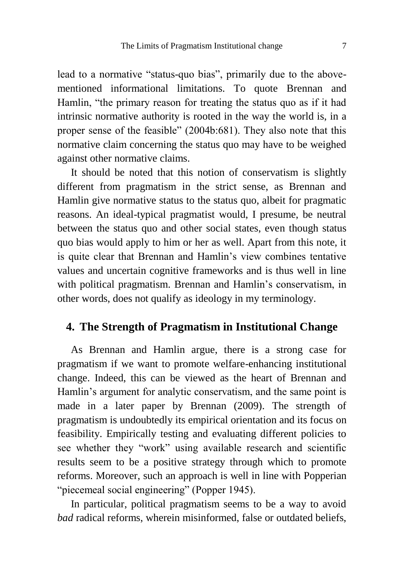lead to a normative "status-quo bias", primarily due to the abovementioned informational limitations. To quote Brennan and Hamlin, "the primary reason for treating the status quo as if it had intrinsic normative authority is rooted in the way the world is, in a proper sense of the feasible" (2004b:681). They also note that this normative claim concerning the status quo may have to be weighed against other normative claims.

It should be noted that this notion of conservatism is slightly different from pragmatism in the strict sense, as Brennan and Hamlin give normative status to the status quo, albeit for pragmatic reasons. An ideal-typical pragmatist would, I presume, be neutral between the status quo and other social states, even though status quo bias would apply to him or her as well. Apart from this note, it is quite clear that Brennan and Hamlin's view combines tentative values and uncertain cognitive frameworks and is thus well in line with political pragmatism. Brennan and Hamlin's conservatism, in other words, does not qualify as ideology in my terminology.

# **4. The Strength of Pragmatism in Institutional Change**

As Brennan and Hamlin argue, there is a strong case for pragmatism if we want to promote welfare-enhancing institutional change. Indeed, this can be viewed as the heart of Brennan and Hamlin's argument for analytic conservatism, and the same point is made in a later paper by Brennan (2009). The strength of pragmatism is undoubtedly its empirical orientation and its focus on feasibility. Empirically testing and evaluating different policies to see whether they "work" using available research and scientific results seem to be a positive strategy through which to promote reforms. Moreover, such an approach is well in line with Popperian "piecemeal social engineering" (Popper 1945).

In particular, political pragmatism seems to be a way to avoid *bad* radical reforms, wherein misinformed, false or outdated beliefs,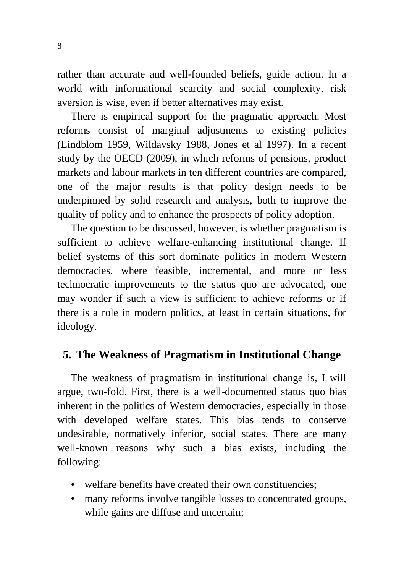rather than accurate and well-founded beliefs, guide action. In a world with informational scarcity and social complexity, risk aversion is wise, even if better alternatives may exist.

There is empirical support for the pragmatic approach. Most reforms consist of marginal adjustments to existing policies (Lindblom 1959, Wildavsky 1988, Jones et al 1997). In a recent study by the OECD (2009), in which reforms of pensions, product markets and labour markets in ten different countries are compared, one of the major results is that policy design needs to be underpinned by solid research and analysis, both to improve the quality of policy and to enhance the prospects of policy adoption.

The question to be discussed, however, is whether pragmatism is sufficient to achieve welfare-enhancing institutional change. If belief systems of this sort dominate politics in modern Western democracies, where feasible, incremental, and more or less technocratic improvements to the status quo are advocated, one may wonder if such a view is sufficient to achieve reforms or if there is a role in modern politics, at least in certain situations, for ideology.

# **5. The Weakness of Pragmatism in Institutional Change**

The weakness of pragmatism in institutional change is, I will argue, two-fold. First, there is a well-documented status quo bias inherent in the politics of Western democracies, especially in those with developed welfare states. This bias tends to conserve undesirable, normatively inferior, social states. There are many well-known reasons why such a bias exists, including the following:

- welfare benefits have created their own constituencies:
- many reforms involve tangible losses to concentrated groups, while gains are diffuse and uncertain;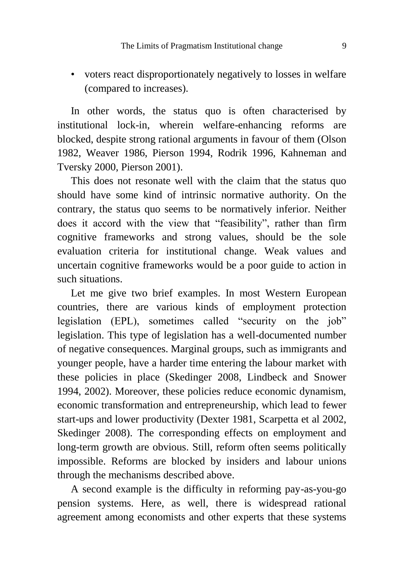• voters react disproportionately negatively to losses in welfare (compared to increases).

In other words, the status quo is often characterised by institutional lock-in, wherein welfare-enhancing reforms are blocked, despite strong rational arguments in favour of them (Olson 1982, Weaver 1986, Pierson 1994, Rodrik 1996, Kahneman and Tversky 2000, Pierson 2001).

This does not resonate well with the claim that the status quo should have some kind of intrinsic normative authority. On the contrary, the status quo seems to be normatively inferior. Neither does it accord with the view that "feasibility", rather than firm cognitive frameworks and strong values, should be the sole evaluation criteria for institutional change. Weak values and uncertain cognitive frameworks would be a poor guide to action in such situations.

Let me give two brief examples. In most Western European countries, there are various kinds of employment protection legislation (EPL), sometimes called "security on the job" legislation. This type of legislation has a well-documented number of negative consequences. Marginal groups, such as immigrants and younger people, have a harder time entering the labour market with these policies in place (Skedinger 2008, Lindbeck and Snower 1994, 2002). Moreover, these policies reduce economic dynamism, economic transformation and entrepreneurship, which lead to fewer start-ups and lower productivity (Dexter 1981, Scarpetta et al 2002, Skedinger 2008). The corresponding effects on employment and long-term growth are obvious. Still, reform often seems politically impossible. Reforms are blocked by insiders and labour unions through the mechanisms described above.

A second example is the difficulty in reforming pay-as-you-go pension systems. Here, as well, there is widespread rational agreement among economists and other experts that these systems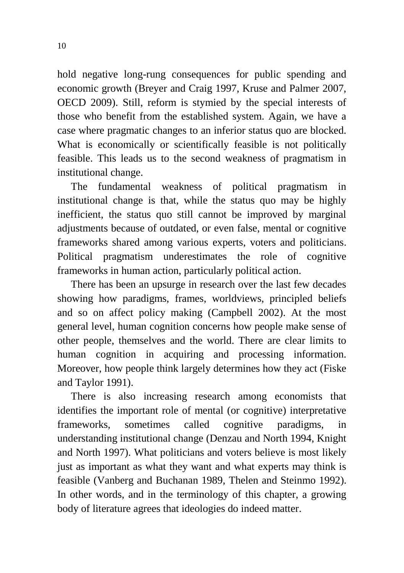hold negative long-rung consequences for public spending and economic growth (Breyer and Craig 1997, Kruse and Palmer 2007, OECD 2009). Still, reform is stymied by the special interests of those who benefit from the established system. Again, we have a case where pragmatic changes to an inferior status quo are blocked. What is economically or scientifically feasible is not politically feasible. This leads us to the second weakness of pragmatism in institutional change.

The fundamental weakness of political pragmatism in institutional change is that, while the status quo may be highly inefficient, the status quo still cannot be improved by marginal adjustments because of outdated, or even false, mental or cognitive frameworks shared among various experts, voters and politicians. Political pragmatism underestimates the role of cognitive frameworks in human action, particularly political action.

There has been an upsurge in research over the last few decades showing how paradigms, frames, worldviews, principled beliefs and so on affect policy making (Campbell 2002). At the most general level, human cognition concerns how people make sense of other people, themselves and the world. There are clear limits to human cognition in acquiring and processing information. Moreover, how people think largely determines how they act (Fiske and Taylor 1991).

There is also increasing research among economists that identifies the important role of mental (or cognitive) interpretative frameworks, sometimes called cognitive paradigms, in understanding institutional change (Denzau and North 1994, Knight and North 1997). What politicians and voters believe is most likely just as important as what they want and what experts may think is feasible (Vanberg and Buchanan 1989, Thelen and Steinmo 1992). In other words, and in the terminology of this chapter, a growing body of literature agrees that ideologies do indeed matter.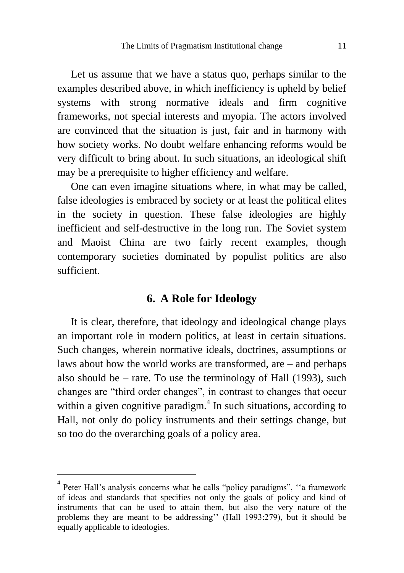Let us assume that we have a status quo, perhaps similar to the examples described above, in which inefficiency is upheld by belief systems with strong normative ideals and firm cognitive frameworks, not special interests and myopia. The actors involved are convinced that the situation is just, fair and in harmony with how society works. No doubt welfare enhancing reforms would be very difficult to bring about. In such situations, an ideological shift may be a prerequisite to higher efficiency and welfare.

One can even imagine situations where, in what may be called, false ideologies is embraced by society or at least the political elites in the society in question. These false ideologies are highly inefficient and self-destructive in the long run. The Soviet system and Maoist China are two fairly recent examples, though contemporary societies dominated by populist politics are also sufficient.

# **6. A Role for Ideology**

It is clear, therefore, that ideology and ideological change plays an important role in modern politics, at least in certain situations. Such changes, wherein normative ideals, doctrines, assumptions or laws about how the world works are transformed, are – and perhaps also should be – rare. To use the terminology of Hall  $(1993)$ , such changes are "third order changes", in contrast to changes that occur within a given cognitive paradigm.<sup>4</sup> In such situations, according to Hall, not only do policy instruments and their settings change, but so too do the overarching goals of a policy area.

<u>.</u>

<sup>&</sup>lt;sup>4</sup> Peter Hall's analysis concerns what he calls "policy paradigms", "a framework of ideas and standards that specifies not only the goals of policy and kind of instruments that can be used to attain them, but also the very nature of the problems they are meant to be addressing'' (Hall 1993:279), but it should be equally applicable to ideologies.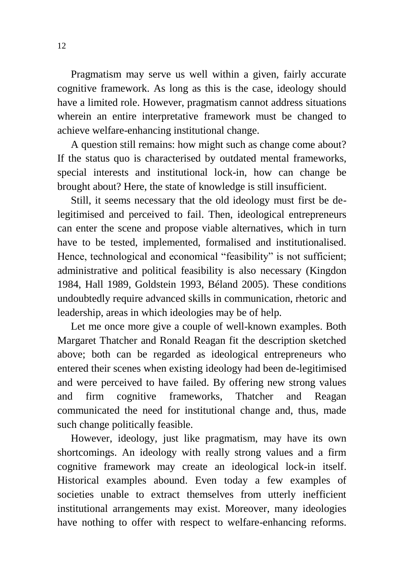Pragmatism may serve us well within a given, fairly accurate cognitive framework. As long as this is the case, ideology should have a limited role. However, pragmatism cannot address situations wherein an entire interpretative framework must be changed to achieve welfare-enhancing institutional change.

A question still remains: how might such as change come about? If the status quo is characterised by outdated mental frameworks, special interests and institutional lock-in, how can change be brought about? Here, the state of knowledge is still insufficient.

Still, it seems necessary that the old ideology must first be delegitimised and perceived to fail. Then, ideological entrepreneurs can enter the scene and propose viable alternatives, which in turn have to be tested, implemented, formalised and institutionalised. Hence, technological and economical "feasibility" is not sufficient; administrative and political feasibility is also necessary (Kingdon 1984, Hall 1989, Goldstein 1993, Béland 2005). These conditions undoubtedly require advanced skills in communication, rhetoric and leadership, areas in which ideologies may be of help.

Let me once more give a couple of well-known examples. Both Margaret Thatcher and Ronald Reagan fit the description sketched above; both can be regarded as ideological entrepreneurs who entered their scenes when existing ideology had been de-legitimised and were perceived to have failed. By offering new strong values and firm cognitive frameworks, Thatcher and Reagan communicated the need for institutional change and, thus, made such change politically feasible.

However, ideology, just like pragmatism, may have its own shortcomings. An ideology with really strong values and a firm cognitive framework may create an ideological lock-in itself. Historical examples abound. Even today a few examples of societies unable to extract themselves from utterly inefficient institutional arrangements may exist. Moreover, many ideologies have nothing to offer with respect to welfare-enhancing reforms.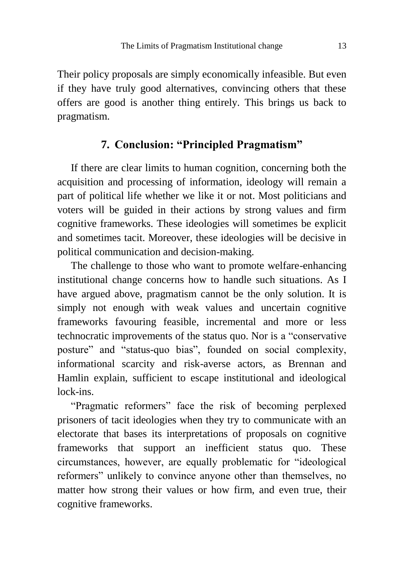Their policy proposals are simply economically infeasible. But even if they have truly good alternatives, convincing others that these offers are good is another thing entirely. This brings us back to pragmatism.

# **7. Conclusion: "Principled Pragmatism"**

If there are clear limits to human cognition, concerning both the acquisition and processing of information, ideology will remain a part of political life whether we like it or not. Most politicians and voters will be guided in their actions by strong values and firm cognitive frameworks. These ideologies will sometimes be explicit and sometimes tacit. Moreover, these ideologies will be decisive in political communication and decision-making.

The challenge to those who want to promote welfare-enhancing institutional change concerns how to handle such situations. As I have argued above, pragmatism cannot be the only solution. It is simply not enough with weak values and uncertain cognitive frameworks favouring feasible, incremental and more or less technocratic improvements of the status quo. Nor is a "conservative posture" and "status-quo bias", founded on social complexity, informational scarcity and risk-averse actors, as Brennan and Hamlin explain, sufficient to escape institutional and ideological lock-ins.

"Pragmatic reformers" face the risk of becoming perplexed prisoners of tacit ideologies when they try to communicate with an electorate that bases its interpretations of proposals on cognitive frameworks that support an inefficient status quo. These circumstances, however, are equally problematic for "ideological reformers" unlikely to convince anyone other than themselves, no matter how strong their values or how firm, and even true, their cognitive frameworks.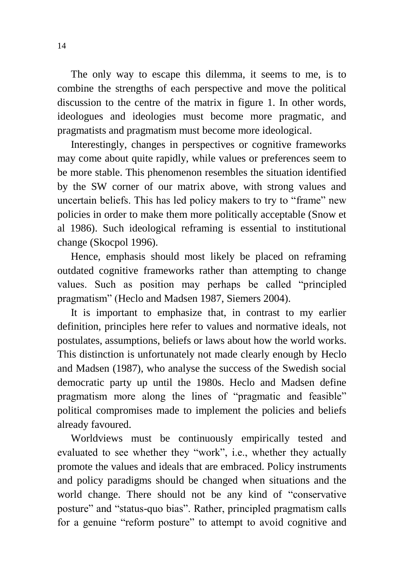The only way to escape this dilemma, it seems to me, is to combine the strengths of each perspective and move the political discussion to the centre of the matrix in figure 1. In other words, ideologues and ideologies must become more pragmatic, and pragmatists and pragmatism must become more ideological.

Interestingly, changes in perspectives or cognitive frameworks may come about quite rapidly, while values or preferences seem to be more stable. This phenomenon resembles the situation identified by the SW corner of our matrix above, with strong values and uncertain beliefs. This has led policy makers to try to "frame" new policies in order to make them more politically acceptable (Snow et al 1986). Such ideological reframing is essential to institutional change (Skocpol 1996).

Hence, emphasis should most likely be placed on reframing outdated cognitive frameworks rather than attempting to change values. Such as position may perhaps be called "principled pragmatism" (Heclo and Madsen 1987, Siemers 2004).

It is important to emphasize that, in contrast to my earlier definition, principles here refer to values and normative ideals, not postulates, assumptions, beliefs or laws about how the world works. This distinction is unfortunately not made clearly enough by Heclo and Madsen (1987), who analyse the success of the Swedish social democratic party up until the 1980s. Heclo and Madsen define pragmatism more along the lines of "pragmatic and feasible" political compromises made to implement the policies and beliefs already favoured.

Worldviews must be continuously empirically tested and evaluated to see whether they "work", i.e., whether they actually promote the values and ideals that are embraced. Policy instruments and policy paradigms should be changed when situations and the world change. There should not be any kind of "conservative posture" and "status-quo bias". Rather, principled pragmatism calls for a genuine "reform posture" to attempt to avoid cognitive and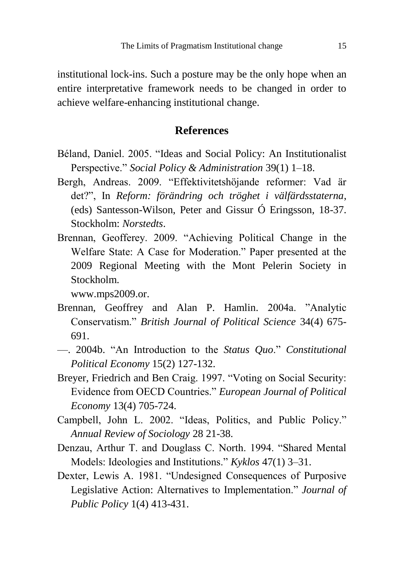institutional lock-ins. Such a posture may be the only hope when an entire interpretative framework needs to be changed in order to achieve welfare-enhancing institutional change.

## **References**

- Béland, Daniel. 2005. "Ideas and Social Policy: An Institutionalist Perspective." *Social Policy & Administration* 39(1) 1–18.
- Bergh, Andreas. 2009. "Effektivitetshöjande reformer: Vad är det?", In *Reform: förändring och tröghet i välfärdsstaterna*, (eds) Santesson-Wilson, Peter and Gissur Ó Eringsson, 18-37. Stockholm: *Norstedts*.
- Brennan, Geofferey. 2009. "Achieving Political Change in the Welfare State: A Case for Moderation." Paper presented at the 2009 Regional Meeting with the Mont Pelerin Society in Stockholm.

[www.mps2009.or.](http://www.mps2009.or/)

- Brennan, Geoffrey and Alan P. Hamlin. 2004a. "Analytic Conservatism." *British Journal of Political Science* 34(4) 675- 691.
- —. 2004b. "An Introduction to the *Status Quo*." *Constitutional Political Economy* 15(2) 127-132.
- Breyer, Friedrich and Ben Craig. 1997. "Voting on Social Security: Evidence from OECD Countries." *European Journal of Political Economy* 13(4) 705-724.
- Campbell, John L. 2002. "Ideas, Politics, and Public Policy." *[Annual Review of Sociology](http://www.jstor.org/action/showPublication?journalCode=annurevisoci)* 28 21-38.
- Denzau, Arthur T. and Douglass C. North. 1994. "Shared Mental Models: Ideologies and Institutions." *Kyklos* 47(1) 3–31.
- Dexter, Lewis A. 1981. "Undesigned Consequences of Purposive Legislative Action: Alternatives to Implementation." *Journal of Public Policy* 1(4) 413-431.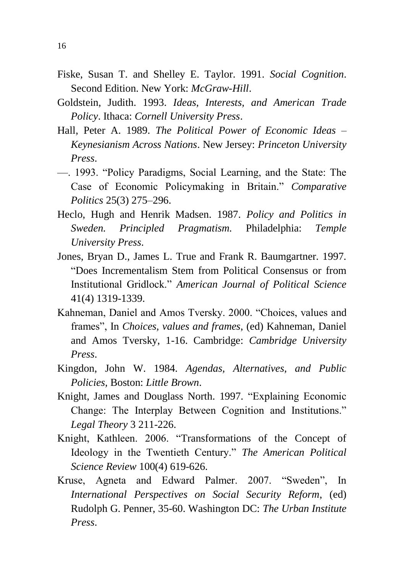- Fiske, Susan T. and Shelley E. Taylor. 1991. *Social Cognition*. Second Edition. New York: *McGraw-Hill*.
- Goldstein, Judith. 1993. *Ideas, Interests, and American Trade Policy*. Ithaca: *Cornell University Press*.
- Hall, Peter A. 1989. *The Political Power of Economic Ideas – Keynesianism Across Nations*. New Jersey: *Princeton University Press*.
- —. 1993. "Policy Paradigms, Social Learning, and the State: The Case of Economic Policymaking in Britain." *Comparative Politics* 25(3) 275–296.
- Heclo, Hugh and Henrik Madsen. 1987. *Policy and Politics in Sweden. Principled Pragmatism.* Philadelphia: *Temple University Press*.
- Jones, Bryan D., James L. True and Frank R. Baumgartner. 1997. "Does Incrementalism Stem from Political Consensus or from Institutional Gridlock." *[American Journal of Political Science](http://www.jstor.org/action/showPublication?journalCode=amerjpoliscie)* 41(4) 1319-1339.
- Kahneman, Daniel and Amos Tversky. 2000. "Choices, values and frames", In *Choices, values and frames*, (ed) Kahneman, Daniel and Amos Tversky, 1-16. Cambridge: *Cambridge University Press*.
- Kingdon, John W. 1984. *Agendas, Alternatives, and Public Policies,* Boston: *Little Brown*.
- Knight, James and Douglass North. 1997. "Explaining Economic Change: The Interplay Between Cognition and Institutions." *Legal Theory* 3 211-226.
- Knight, Kathleen. 2006. "Transformations of the Concept of Ideology in the Twentieth Century." *[The American Political](http://www.jstor.org/action/showPublication?journalCode=amerpoliscierevi)  [Science Review](http://www.jstor.org/action/showPublication?journalCode=amerpoliscierevi)* 100(4) 619-626.
- Kruse, Agneta and Edward Palmer. 2007. "Sweden", In *International Perspectives on Social Security Reform*, (ed) Rudolph G. Penner, 35-60. Washington DC: *The Urban Institute Press*.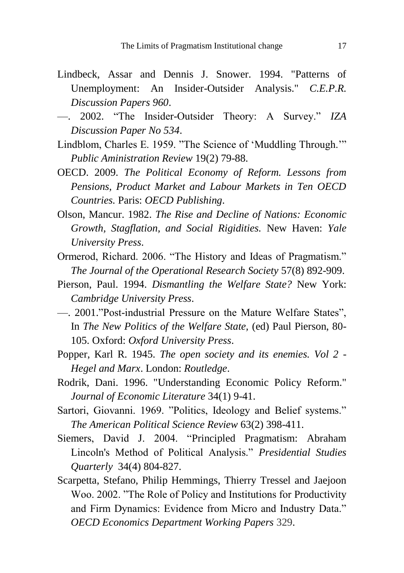- Lindbeck, Assar and Dennis J. Snower. 1994. "Patterns of Unemployment: An Insider-Outsider Analysis." *C.E.P.R. Discussion Papers 960*.
- —. 2002. "The Insider-Outsider Theory: A Survey." *IZA Discussion Paper No 534*.
- Lindblom, Charles E. 1959. "The Science of 'Muddling Through.'" *Public Aministration Review* 19(2) 79-88.
- OECD. 2009. *The Political Economy of Reform. Lessons from Pensions, Product Market and Labour Markets in Ten OECD Countries.* Paris: *OECD Publishing*.
- Olson, Mancur. 1982. *The Rise and Decline of Nations: Economic Growth, Stagflation, and Social Rigidities.* New Haven: *Yale University Press*.
- Ormerod, Richard. 2006. "The History and Ideas of Pragmatism." *[The Journal of the Operational Research Society](http://www.jstor.org/action/showPublication?journalCode=joperresesoci)* 57(8) 892-909.
- Pierson, Paul. 1994. *Dismantling the Welfare State?* New York: *Cambridge University Press*.
- —. 2001."Post-industrial Pressure on the Mature Welfare States", In *The New Politics of the Welfare State,* (ed) Paul Pierson, 80- 105. Oxford: *Oxford University Press*.
- Popper, Karl R. 1945. *The open society and its enemies. Vol 2 - Hegel and Marx*. London: *Routledge*.
- Rodrik, Dani. 1996. ["Understanding Economic Policy Reform.](http://ideas.repec.org/a/aea/jeclit/v34y1996i1p9-41.html)" *[Journal of Economic Literature](http://ideas.repec.org/s/aea/jeclit.html)* 34(1) 9-41.
- Sartori, Giovanni. 1969. "Politics, Ideology and Belief systems." *The American Political Science Review* 63(2) 398-411.
- Siemers, David J. 2004. "Principled Pragmatism: Abraham Lincoln's Method of Political Analysis." *Presidential Studies Quarterly* 34(4) 804-827.
- Scarpetta, Stefano, Philip Hemmings, Thierry Tressel and Jaejoon Woo. 2002. "The Role of Policy and Institutions for Productivity and Firm Dynamics: Evidence from Micro and Industry Data." *[OECD Economics Department Working Papers](http://ideas.repec.org/s/oec/ecoaaa.html)* 329.